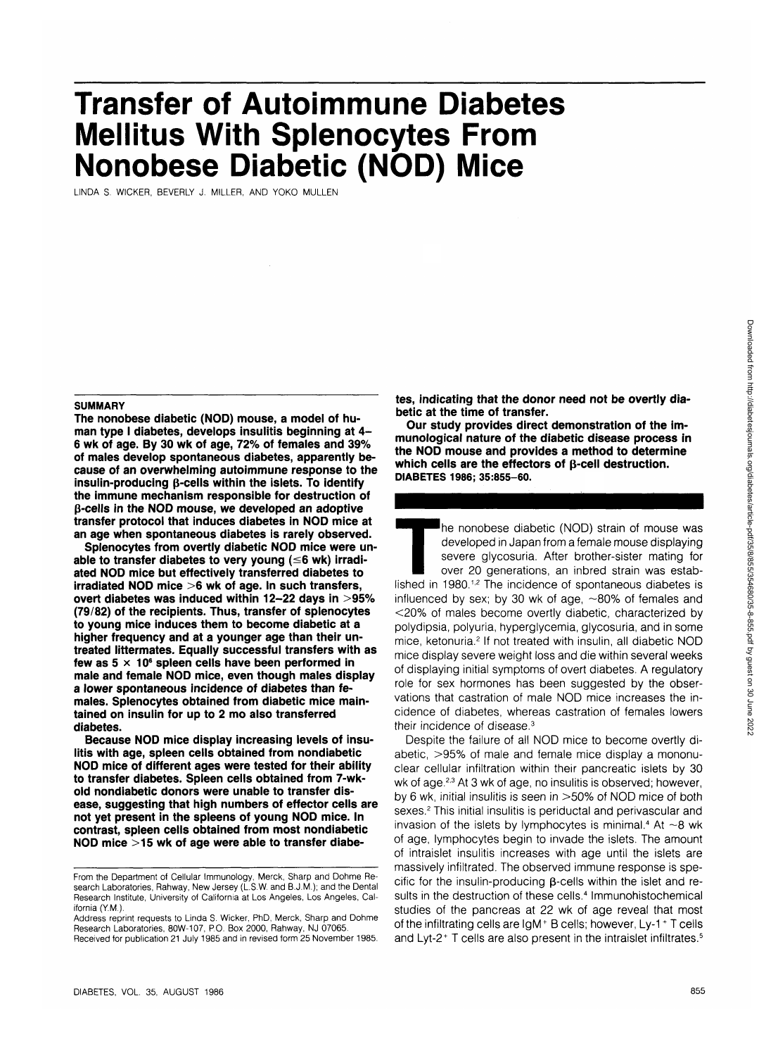# **Transfer of Autoimmune Diabetes Mellitus With Splenocytes From Nonobese Diabetic (NOD) Mice**

LINDA S. WICKER, BEVERLY J. MILLER, AND YOKO MULLEN

#### **SUMMARY**

**The nonobese diabetic (NOD) mouse, a model of human type I diabetes, develops insulitis beginning at 4- 6 wk of age. By 30 wk of age, 72% of females and 39% of males develop spontaneous diabetes, apparently because of an overwhelming autoimmune response to the insulin-producing p-cells within the islets. To identify the immune mechanism responsible for destruction of p-cells in the NOD mouse, we developed an adoptive transfer protocol that induces diabetes in NOD mice at an age when spontaneous diabetes is rarely observed.**

**Splenocytes from overtly diabetic NOD mice were unable to transfer diabetes to very young (<6 wk) irradiated NOD mice but effectively transferred diabetes to irradiated NOD mice >6 wk of age. In such transfers, overt diabetes was induced within 12-22 days in >95% (79/82) of the recipients. Thus, transfer of splenocytes to young mice induces them to become diabetic at a higher frequency and at a younger age than their untreated littermates. Equally successful transfers with as** few as 5  $\times$  10<sup>6</sup> spleen cells have been performed in **male and female NOD mice, even though males display a lower spontaneous incidence of diabetes than females. Splenocytes obtained from diabetic mice maintained on insulin for up to 2 mo also transferred diabetes.**

**Because NOD mice display increasing levels of insulitis with age, spleen cells obtained from nondiabetic NOD mice of different ages were tested for their ability to transfer diabetes. Spleen cells obtained from 7-wkold nondiabetic donors were unable to transfer disease, suggesting that high numbers of effector cells are not yet present in the spleens of young NOD mice. In contrast, spleen cells obtained from most nondiabetic NOD mice >15 wk of age were able to transfer diabe-** **tes, indicating that the donor need not be overtly diabetic at the time of transfer.**

**Our study provides direct demonstration of the immunological nature of the diabetic disease process in the NOD mouse and provides a method to determine which cells are the effectors of p-cell destruction. DIABETES 1986; 35:855-60.**

The nonobese diabetic (NOD) strain of mouse was<br>developed in Japan from a female mouse displaying<br>severe glycosuria. After brother-sister mating for<br>over 20 generations, an inbred strain was estab-<br>lished in 1980.<sup>1,2</sup> The developed in Japan from a female mouse displaying severe glycosuria. After brother-sister mating for over 20 generations, an inbred strain was estabinfluenced by sex; by 30 wk of age,  $\sim$ 80% of females and <20% of males become overtly diabetic, characterized by polydipsia, polyuria, hyperglycemia, glycosuria, and in some mice, ketonuria.<sup>2</sup> If not treated with insulin, all diabetic NOD mice display severe weight loss and die within several weeks of displaying initial symptoms of overt diabetes. A regulatory role for sex hormones has been suggested by the observations that castration of male NOD mice increases the incidence of diabetes, whereas castration of females lowers their incidence of disease.3

Despite the failure of all NOD mice to become overtly diabetic, >95% of male and female mice display a mononuclear cellular infiltration within their pancreatic islets by 30 wk of age.<sup>2,3</sup> At 3 wk of age, no insulitis is observed; however, by 6 wk, initial insulitis is seen in >50% of NOD mice of both sexes.<sup>2</sup> This initial insulitis is periductal and perivascular and invasion of the islets by lymphocytes is minimal.<sup>4</sup> At  $\sim$ 8 wk of age, lymphocytes begin to invade the islets. The amount of intraislet insulitis increases with age until the islets are massively infiltrated. The observed immune response is specific for the insulin-producing  $\beta$ -cells within the islet and results in the destruction of these cells.<sup>4</sup> Immunohistochemical studies of the pancreas at 22 wk of age reveal that most of the infiltrating cells are  $IgM<sup>+</sup> B$  cells; however, Ly-1  $^+$  T cells and Lyt-2<sup>+</sup> T cells are also present in the intraislet infiltrates.<sup>5</sup>

From the Department of Cellular Immunology, Merck, Sharp and Dohme Research Laboratories, Rahway, New Jersey (L.S.W. and B.J.M.); and the Dental Research Institute, University of California at Los Angeles, Los Angeles, California (Y.M.).

Address reprint requests to Linda S. Wicker, PhD, Merck, Sharp and Dohme Research Laboratories, 80W-107, P.O. Box 2000, Rahway, NJ 07065. Received for publication 21 July 1985 and in revised form 25 November 1985.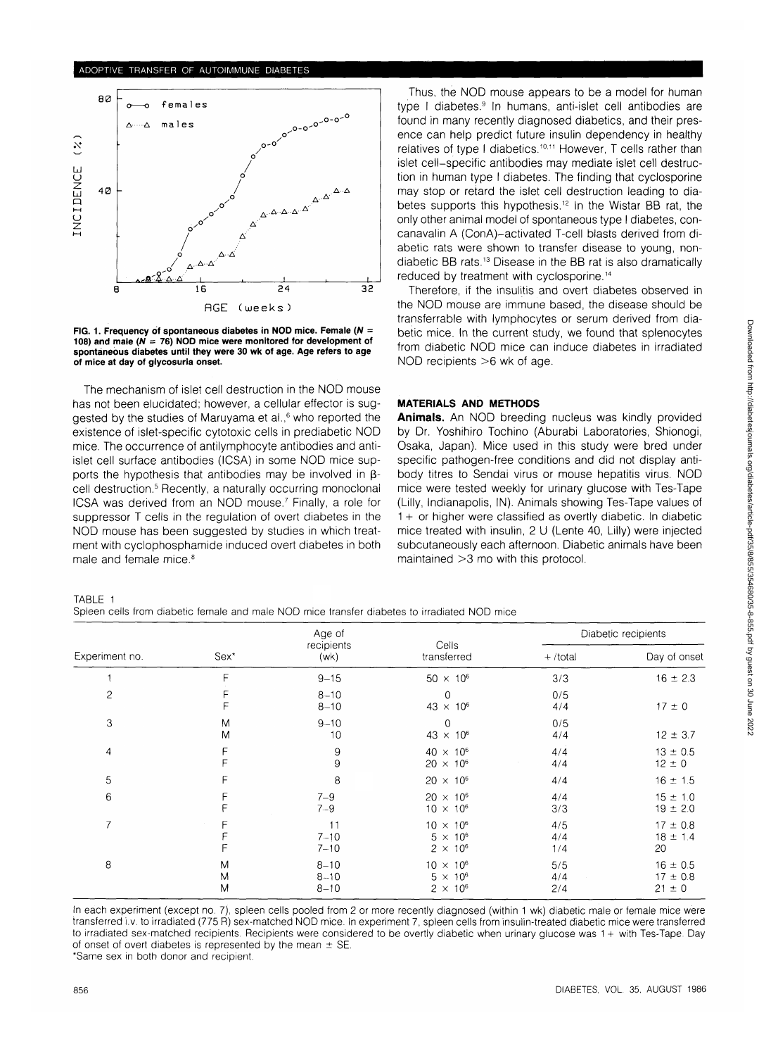## ADOPTIVE TRANSFER OF AUTOIMMUNE DIABETES



**FIG. 1. Frequency of spontaneous diabetes in NOD mice. Female (N = 108) and male (N = 76) NOD mice were monitored for development of spontaneous diabetes until they were 30 wk of age. Age refers to age of mice at day of glycosuria onset.**

The mechanism of islet cell destruction in the NOD mouse has not been elucidated; however, a cellular effector is suggested by the studies of Maruyama et al.,<sup>6</sup> who reported the existence of islet-specific cytotoxic cells in prediabetic NOD mice. The occurrence of antilymphocyte antibodies and antiislet cell surface antibodies (ICSA) in some NOD mice supports the hypothesis that antibodies may be involved in  $\beta$ cell destruction.<sup>5</sup> Recently, a naturally occurring monoclonal ICSA was derived from an NOD mouse.<sup>7</sup> Finally, a role for suppressor T cells in the regulation of overt diabetes in the NOD mouse has been suggested by studies in which treatment with cyclophosphamide induced overt diabetes in both male and female mice.<sup>8</sup>

Thus, the NOD mouse appears to be a model for human type I diabetes.<sup>9</sup> In humans, anti-islet cell antibodies are found in many recently diagnosed diabetics, and their presence can help predict future insulin dependency in healthy relatives of type I diabetics.<sup>10,11</sup> However, T cells rather than islet cell-specific antibodies may mediate islet cell destruction in human type I diabetes. The finding that cyclosporine may stop or retard the islet cell destruction leading to diabetes supports this hypothesis.<sup>12</sup> In the Wistar BB rat, the only other animal model of spontaneous type I diabetes, concanavalin A (ConA)-activated T-cell blasts derived from diabetic rats were shown to transfer disease to young, nondiabetic BB rats.13 Disease in the BB rat is also dramatically reduced by treatment with cyclosporine.<sup>14</sup>

Therefore, if the insulitis and overt diabetes observed in the NOD mouse are immune based, the disease should be transferrable with lymphocytes or serum derived from diabetic mice. In the current study, we found that splenocytes from diabetic NOD mice can induce diabetes in irradiated NOD recipients >6 wk of age.

# **MATERIALS AND METHODS**

**Animals.** An NOD breeding nucleus was kindly provided by Dr. Yoshihiro Tochino (Aburabi Laboratories, Shionogi, Osaka, Japan). Mice used in this study were bred under specific pathogen-free conditions and did not display antibody titres to Sendai virus or mouse hepatitis virus. NOD mice were tested weekly for urinary glucose with Tes-Tape (Lilly, Indianapolis, IN). Animals showing Tes-Tape values of 1 + or higher were classified as overtly diabetic. In diabetic mice treated with insulin, 2 U (Lente 40, Lilly) were injected subcutaneously each afternoon. Diabetic animals have been maintained >3 mo with this protocol.

TABLE 1 Spleen cells from diabetic female and male NOD mice transfer diabetes to irradiated NOD mice

Downloaded from http://diabetesjournals.org/diabetes/article-pdf/35/8/855/354680/35-8-855.pdf by guest on 30 June 2022

Downloaded from http://diabetesjournals.org/diabetes/article-pdf/35/8/856/354680/35-8-855.pdf by guest on 30 June 2022

| Experiment no. |                  | Age of                           | Cells<br>transferred                                     | Diabetic recipients |                                            |
|----------------|------------------|----------------------------------|----------------------------------------------------------|---------------------|--------------------------------------------|
|                | Sex <sup>*</sup> | recipients<br>(wk)               |                                                          | $+$ /total          | Day of onset                               |
|                | F                | $9 - 15$                         | $50 \times 10^6$                                         | 3/3                 | $16 \pm 2.3$                               |
| 2              | F                | $8 - 10$<br>$8 - 10$             | $\Omega$<br>$43 \times 10^{6}$                           | 0/5<br>4/4          | $17 \pm 0$                                 |
| 3              | M<br>M           | $9 - 10$<br>10                   | 0<br>$43 \times 10^{6}$                                  | 0/5<br>4/4          | $12 \pm 3.7$                               |
| 4              | F<br>F           | 9<br>9                           | $40 \times 10^{6}$<br>$20 \times 10^{6}$                 | 4/4<br>4/4          | $13 \pm 0.5$<br>$12 \pm 0$                 |
| 5              | F                | 8                                | $20 \times 10^6$                                         | 4/4                 | $16 \pm 1.5$                               |
| 6              | F                | $7 - 9$<br>$7 - 9$               | $20 \times 10^6$<br>$10 \times 10^{6}$                   | 4/4<br>3/3          | $15 \pm 1.0$<br>$19 \pm 2.0$               |
| 7              |                  | 11<br>$7 - 10$<br>$7 - 10$       | $10 \times 10^{6}$<br>$5 \times 10^6$<br>$2 \times 10^6$ | 4/5<br>4/4<br>1/4   | $17 \pm 0.8$<br>$18 \pm 1.4$<br>20         |
| 8              | M<br>M<br>M      | $8 - 10$<br>$8 - 10$<br>$8 - 10$ | $10 \times 10^{6}$<br>$5 \times 10^6$<br>$2 \times 10^6$ | 5/5<br>4/4<br>2/4   | $16 \pm 0.5$<br>$17 \pm 0.8$<br>$21 \pm 0$ |

In each experiment (except no. 7), spleen cells pooled from 2 or more recently diagnosed (within 1 wk) diabetic male or female mice were transferred i.v. to irradiated (775 R) sex-matched NOD mice. In experiment 7, spleen cells from insulin-treated diabetic mice were transferred to irradiated sex-matched recipients. Recipients were considered to be overtly diabetic when urinary glucose was 1 + with Tes-Tape. Day of onset of overt diabetes is represented by the mean  $\pm$  SE

\*Same sex in both donor and recipient.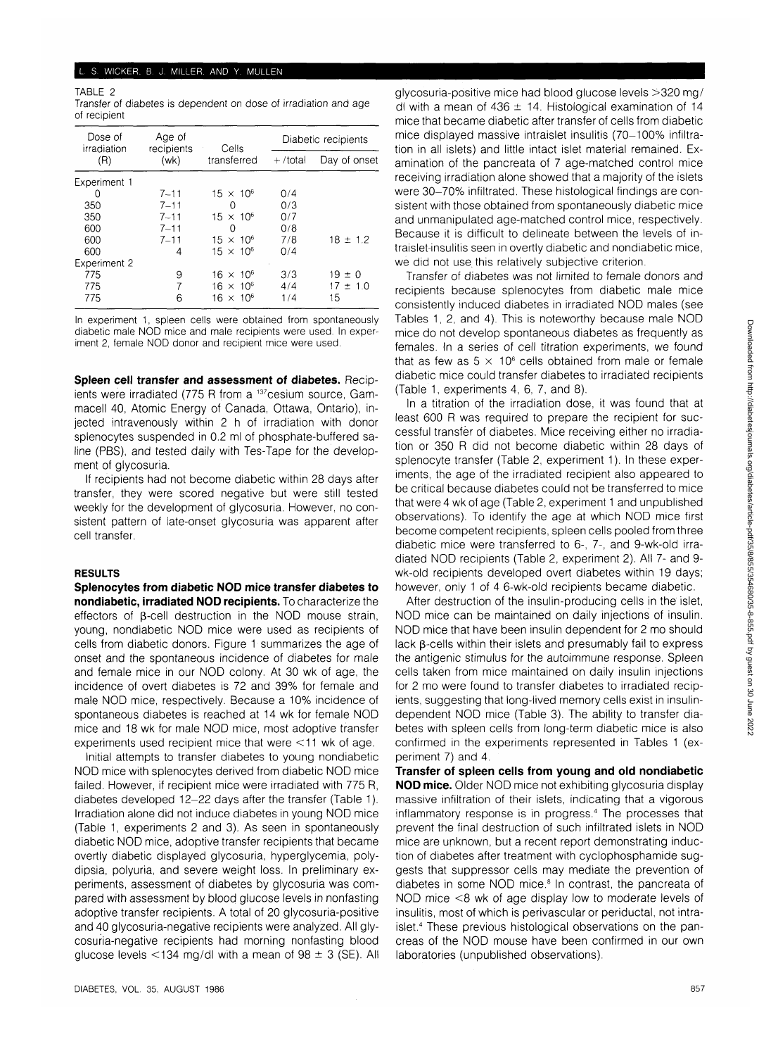#### L. S. WICKER. B. J. MILLER. AND Y. MULLEN

TABLE 2 Transfer of diabetes is dependent on dose of irradiation and age of recipient

| Dose of<br>irradiation | Age of<br>recipients | Cells              | Diabetic recipients |              |  |
|------------------------|----------------------|--------------------|---------------------|--------------|--|
| (R)                    | (wk)                 | transferred        | $+$ /total          | Day of onset |  |
| Experiment 1           |                      |                    |                     |              |  |
| Ω                      | $7 - 11$             | $15 \times 10^{6}$ | 0/4                 |              |  |
| 350                    | $7 - 11$             | $\Omega$           | 0/3                 |              |  |
| 350                    | $7 - 11$             | $15 \times 10^{6}$ | 0/7                 |              |  |
| 600                    | $7 - 11$             | Ω                  | 0/8                 |              |  |
| 600                    | $7 - 11$             | $15 \times 10^{6}$ | 7/8                 | $18 \pm 1.2$ |  |
| 600                    | 4                    | $15 \times 10^{6}$ | 0/4                 |              |  |
| <b>Experiment 2</b>    |                      |                    |                     |              |  |
| 775                    | 9                    | $16 \times 10^{6}$ | 3/3                 | $19 \pm 0$   |  |
| 775                    | 7                    | $16 \times 10^{6}$ | 4/4                 | $17 \pm 1.0$ |  |
| 775                    | 6                    | $16 \times 10^6$   | 1/4                 | 15           |  |
|                        |                      |                    |                     |              |  |

In experiment 1, spleen cells were obtained from spontaneously diabetic male NOD mice and male recipients were used. In experiment 2, female NOD donor and recipient mice were used.

**Spleen cell transfer and assessment of diabetes.** Recipients were irradiated (775 R from a <sup>137</sup>cesium source, Gammacell 40, Atomic Energy of Canada, Ottawa, Ontario), injected intravenously within 2 h of irradiation with donor splenocytes suspended in 0.2 ml of phosphate-buffered saline (PBS), and tested daily with Tes-Tape for the development of glycosuria.

If recipients had not become diabetic within 28 days after transfer, they were scored negative but were still tested weekly for the development of glycosuria. However, no consistent pattern of late-onset glycosuria was apparent after cell transfer.

#### **RESULTS**

**Splenocytes from diabetic NOD mice transfer diabetes to nondiabetic, irradiated NOD recipients.** To characterize the effectors of  $\beta$ -cell destruction in the NOD mouse strain, young, nondiabetic NOD mice were used as recipients of cells from diabetic donors. Figure 1 summarizes the age of onset and the spontaneous incidence of diabetes for male and female mice in our NOD colony. At 30 wk of age, the incidence of overt diabetes is 72 and 39% for female and male NOD mice, respectively. Because a 10% incidence of spontaneous diabetes is reached at 14 wk for female NOD mice and 18 wk for male NOD mice, most adoptive transfer experiments used recipient mice that were <11 wk of age.

Initial attempts to transfer diabetes to young nondiabetic NOD mice with splenocytes derived from diabetic NOD mice failed. However, if recipient mice were irradiated with 775 R, diabetes developed 12-22 days after the transfer (Table 1). Irradiation alone did not induce diabetes in young NOD mice (Table 1, experiments 2 and 3). As seen in spontaneously diabetic NOD mice, adoptive transfer recipients that became overtly diabetic displayed glycosuria, hyperglycemia, polydipsia, polyuria, and severe weight loss. In preliminary experiments, assessment of diabetes by glycosuria was compared with assessment by blood glucose levels in nonfasting adoptive transfer recipients. A total of 20 glycosuria-positive and 40 glycosuria-negative recipients were analyzed. All glycosuria-negative recipients had morning nonfasting blood glucose levels <134 mg/dl with a mean of  $98 \pm 3$  (SE). All glycosuria-positive mice had blood glucose levels >320 mg/ dl with a mean of  $436 \pm 14$ . Histological examination of 14 mice that became diabetic after transfer of cells from diabetic mice displayed massive intraislet insulitis (70-100% infiltration in all islets) and little intact islet material remained. Examination of the pancreata of 7 age-matched control mice receiving irradiation alone showed that a majority of the islets were 30-70% infiltrated. These histological findings are consistent with those obtained from spontaneously diabetic mice and unmanipulated age-matched control mice, respectively. Because it is difficult to delineate between the levels of intraislet-insulitis seen in overtly diabetic and nondiabetic mice, we did not use this relatively subjective criterion.

Transfer of diabetes was not limited to female donors and recipients because splenocytes from diabetic male mice consistently induced diabetes in irradiated NOD males (see Tables 1, 2, and 4). This is noteworthy because male NOD mice do not develop spontaneous diabetes as frequently as females. In a series of cell titration experiments, we found that as few as  $5 \times 10^6$  cells obtained from male or female diabetic mice could transfer diabetes to irradiated recipients (Table 1, experiments 4, 6, 7, and 8).

In a titration of the irradiation dose, it was found that at least 600 R was required to prepare the recipient for successful transfer of diabetes. Mice receiving either no irradiation or 350 R did not become diabetic within 28 days of splenocyte transfer (Table 2, experiment 1). In these experiments, the age of the irradiated recipient also appeared to be critical because diabetes could not be transferred to mice that were 4 wk of age (Table 2, experiment 1 and unpublished observations). To identify the age at which NOD mice first become competent recipients, spleen cells pooled from three diabetic mice were transferred to 6-, 7-, and 9-wk-old irradiated NOD recipients (Table 2, experiment 2). All 7- and 9 wk-old recipients developed overt diabetes within 19 days; however, only 1 of 4 6-wk-old recipients became diabetic.

After destruction of the insulin-producing cells in the islet, NOD mice can be maintained on daily injections of insulin. NOD mice that have been insulin dependent for 2 mo should lack  $\beta$ -cells within their islets and presumably fail to express the antigenic stimulus for the autoimmune response. Spleen cells taken from mice maintained on daily insulin injections for 2 mo were found to transfer diabetes to irradiated recipients, suggesting that long-lived memory cells exist in insulindependent NOD mice (Table 3). The ability to transfer diabetes with spleen cells from long-term diabetic mice is also confirmed in the experiments represented in Tables 1 (experiment 7) and 4.

**Transfer of spleen cells from young and old nondiabetic NOD mice.** Older NOD mice not exhibiting glycosuria display massive infiltration of their islets, indicating that a vigorous inflammatory response is in progress.4 The processes that prevent the final destruction of such infiltrated islets in NOD mice are unknown, but a recent report demonstrating induction of diabetes after treatment with cyclophosphamide suggests that suppressor cells may mediate the prevention of diabetes in some NOD mice.<sup>8</sup> In contrast, the pancreata of NOD mice <8 wk of age display low to moderate levels of insulitis, most of which is perivascular or periductal, not intraislet.4 These previous histological observations on the pancreas of the NOD mouse have been confirmed in our own laboratories (unpublished observations).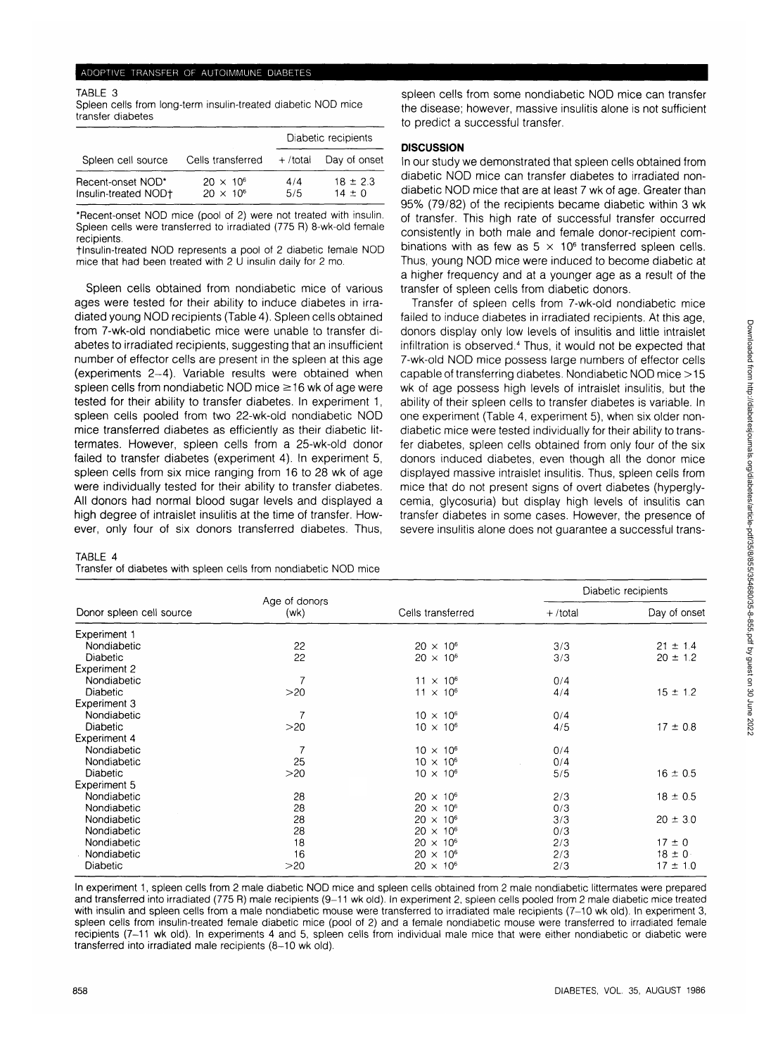#### ADOPTIVE TRANSFER OF AUTOIMMUNE DIABETES

TABLE 3 Spleen cells from long-term insulin-treated diabetic NOD mice transfer diabetes

|                                           |                                          | Diabetic recipients |                            |
|-------------------------------------------|------------------------------------------|---------------------|----------------------------|
| Spleen cell source                        | Cells transferred                        | $+$ /total          | Day of onset               |
| Recent-onset NOD*<br>Insulin-treated NOD+ | $20 \times 10^{6}$<br>$20 \times 10^{6}$ | 4/4<br>5/5          | $18 \pm 2.3$<br>$14 \pm 0$ |

\*Recent-onset NOD mice (pool of 2) were not treated with insulin. Spleen cells were transferred to irradiated (775 R) 8-wk-old female recipients.

flnsulin-treated NOD represents a pool of 2 diabetic female NOD mice that had been treated with 2 U insulin daily for 2 mo.

Spleen cells obtained from nondiabetic mice of various ages were tested for their ability to induce diabetes in irradiated young NOD recipients (Table 4). Spleen cells obtained from 7-wk-old nondiabetic mice were unable to transfer diabetes to irradiated recipients, suggesting that an insufficient number of effector cells are present in the spleen at this age (experiments 2-4). Variable results were obtained when spleen cells from nondiabetic NOD mice  $\geq$ 16 wk of age were tested for their ability to transfer diabetes. In experiment 1, spleen cells pooled from two 22-wk-old nondiabetic NOD mice transferred diabetes as efficiently as their diabetic littermates. However, spleen cells from a 25-wk-old donor failed to transfer diabetes (experiment 4). In experiment 5, spleen cells from six mice ranging from 16 to 28 wk of age were individually tested for their ability to transfer diabetes. All donors had normal blood sugar levels and displayed a high degree of intraislet insulitis at the time of transfer. However, only four of six donors transferred diabetes. Thus,

#### TABLE 4

|  | Transfer of diabetes with spleen cells from nondiabetic NOD mice |
|--|------------------------------------------------------------------|
|--|------------------------------------------------------------------|

spleen cells from some nondiabetic NOD mice can transfer the disease; however, massive insulitis alone is not sufficient to predict a successful transfer.

## **DISCUSSION**

In our study we demonstrated that spleen cells obtained from diabetic NOD mice can transfer diabetes to irradiated nondiabetic NOD mice that are at least 7 wk of age. Greater than 95% (79/82) of the recipients became diabetic within 3 wk of transfer. This high rate of successful transfer occurred consistently in both male and female donor-recipient combinations with as few as  $5 \times 10^6$  transferred spleen cells. Thus, young NOD mice were induced to become diabetic at a higher frequency and at a younger age as a result of the transfer of spleen cells from diabetic donors.

Transfer of spleen cells from 7-wk-old nondiabetic mice failed to induce diabetes in irradiated recipients. At this age, donors display only low levels of insulitis and little intraislet infiltration is observed.<sup>4</sup> Thus, it would not be expected that 7-wk-old NOD mice possess large numbers of effector cells capable of transferring diabetes. Nondiabetic NOD mice >15 wk of age possess high levels of intraislet insulitis, but the ability of their spleen cells to transfer diabetes is variable. In one experiment (Table 4, experiment 5), when six older nondiabetic mice were tested individually for their ability to transfer diabetes, spleen cells obtained from only four of the six donors induced diabetes, even though all the donor mice displayed massive intraislet insulitis. Thus, spleen cells from mice that do not present signs of overt diabetes (hyperglycemia, glycosuria) but display high levels of insulitis can transfer diabetes in some cases. However, the presence of severe insulitis alone does not guarantee a successful trans-

|                          | Age of donors<br>(wk) |                    | Diabetic recipients |              |
|--------------------------|-----------------------|--------------------|---------------------|--------------|
| Donor spleen cell source |                       | Cells transferred  | $+$ /total          | Day of onset |
| Experiment 1             |                       |                    |                     |              |
| Nondiabetic              | 22                    | $20 \times 10^6$   | 3/3                 | $21 \pm 1.4$ |
| <b>Diabetic</b>          | 22                    | $20 \times 10^{6}$ | 3/3                 | $20 \pm 1.2$ |
| Experiment 2             |                       |                    |                     |              |
| Nondiabetic              |                       | $11 \times 10^{6}$ | 0/4                 |              |
| <b>Diabetic</b>          | >20                   | $11 \times 10^{6}$ | 4/4                 | $15 \pm 1.2$ |
| Experiment 3             |                       |                    |                     |              |
| Nondiabetic              |                       | $10 \times 10^{6}$ | 0/4                 |              |
| <b>Diabetic</b>          | >20                   | $10 \times 10^{6}$ | 4/5                 | $17 \pm 0.8$ |
| <b>Experiment 4</b>      |                       |                    |                     |              |
| Nondiabetic              | 7                     | $10 \times 10^{6}$ | 0/4                 |              |
| Nondiabetic              | 25                    | $10 \times 10^{6}$ | 0/4                 |              |
| <b>Diabetic</b>          | >20                   | $10 \times 10^{6}$ | 5/5                 | $16 \pm 0.5$ |
| Experiment 5             |                       |                    |                     |              |
| Nondiabetic              | 28                    | $20 \times 10^{6}$ | 2/3                 | $18 \pm 0.5$ |
| Nondiabetic              | 28                    | $20 \times 10^{6}$ | 0/3                 |              |
| Nondiabetic              | 28                    | $20 \times 10^6$   | 3/3                 | $20 \pm 3.0$ |
| Nondiabetic              | 28                    | $20 \times 10^{6}$ | 0/3                 |              |
| Nondiabetic              | 18                    | $20 \times 10^{6}$ | 2/3                 | $17 \pm 0$   |
| Nondiabetic              | 16                    | $20 \times 10^{6}$ | 2/3                 | $18 \pm 0$   |
| Diabetic                 | >20                   | $20 \times 10^{6}$ | 2/3                 | $17 \pm 1.0$ |

In experiment 1, spleen cells from 2 male diabetic NOD mice and spleen cells obtained from 2 male nondiabetic littermates were prepared and transferred into irradiated (775 R) male recipients (9-11 wk old). In experiment 2, spleen cells pooled from 2 male diabetic mice treated with insulin and spleen cells from a male nondiabetic mouse were transferred to irradiated male recipients (7-10 wk old). In experiment 3, spleen cells from insulin-treated female diabetic mice (pool of 2) and a female nondiabetic mouse were transferred to irradiated female recipients (7-11 wk old). In experiments 4 and 5, spleen cells from individual male mice that were either nondiabetic or diabetic were transferred into irradiated male recipients (8-10 wk old).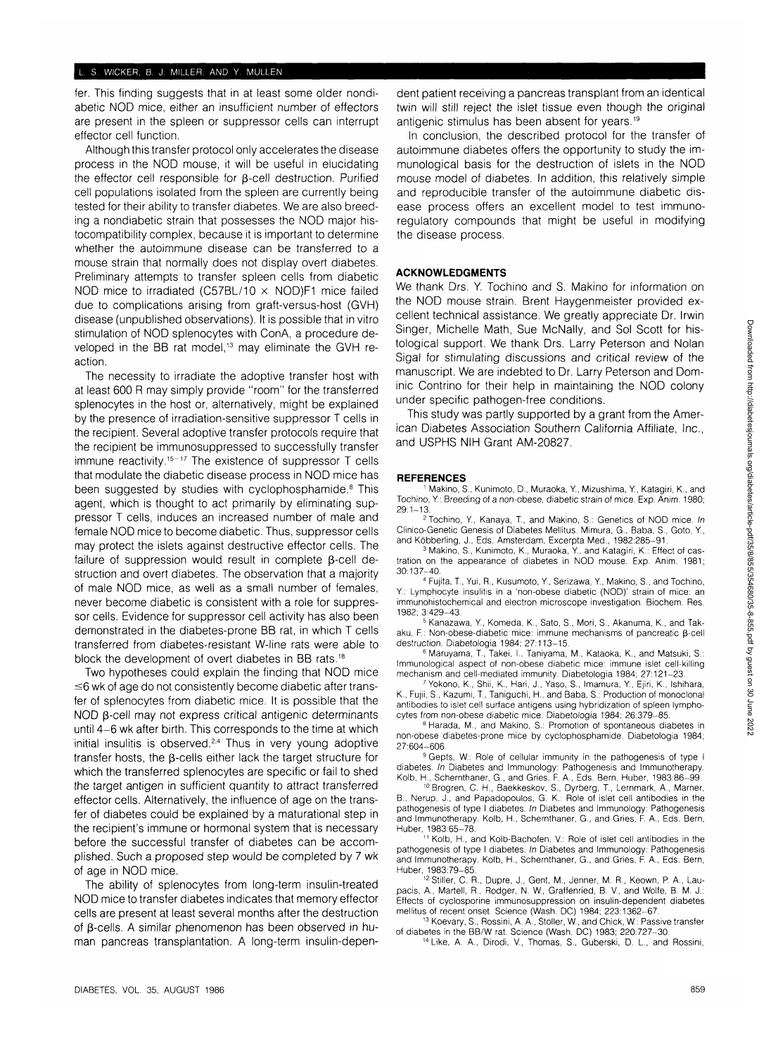fer. This finding suggests that in at least some older nondiabetic NOD mice, either an insufficient number of effectors are present in the spleen or suppressor cells can interrupt effector cell function.

Although this transfer protocol only accelerates the disease process in the NOD mouse, it will be useful in elucidating the effector cell responsible for (3-cell destruction. Purified cell populations isolated from the spleen are currently being tested for their ability to transfer diabetes. We are also breeding a nondiabetic strain that possesses the NOD major histocompatibility complex, because it is important to determine whether the autoimmune disease can be transferred to a mouse strain that normally does not display overt diabetes. Preliminary attempts to transfer spleen cells from diabetic NOD mice to irradiated (C57BL/10  $\times$  NOD)F1 mice failed due to complications arising from graft-versus-host (GVH) disease (unpublished observations). It is possible that in vitro stimulation of NOD splenocytes with ConA, a procedure developed in the BB rat model,13 may eliminate the GVH reaction.

The necessity to irradiate the adoptive transfer host with at least 600 R may simply provide "room" for the transferred splenocytes in the host or, alternatively, might be explained by the presence of irradiation-sensitive suppressor T cells in the recipient. Several adoptive transfer protocols require that the recipient be immunosuppressed to successfully transfer immune reactivity.<sup>15-17</sup> The existence of suppressor T cells that modulate the diabetic disease process in NOD mice has been suggested by studies with cyclophosphamide.<sup>8</sup> This agent, which is thought to act primarily by eliminating suppressor T cells, induces an increased number of male and female NOD mice to become diabetic. Thus, suppressor cells may protect the islets against destructive effector cells. The failure of suppression would result in complete B-cell destruction and overt diabetes. The observation that a majority of male NOD mice, as well as a small number of females, never become diabetic is consistent with a role for suppressor cells. Evidence for suppressor cell activity has also been demonstrated in the diabetes-prone BB rat, in which T cells transferred from diabetes-resistant W-line rats were able to block the development of overt diabetes in BB rats.18

Two hypotheses could explain the finding that NOD mice  $\leq$ 6 wk of age do not consistently become diabetic after transfer of splenocytes from diabetic mice. It is possible that the NOD B-cell may not express critical antigenic determinants until 4-6 wk after birth. This corresponds to the time at which initial insulitis is observed.<sup>2,4</sup> Thus in very young adoptive transfer hosts, the B-cells either lack the target structure for which the transferred splenocytes are specific or fail to shed the target antigen in sufficient quantity to attract transferred effector cells. Alternatively, the influence of age on the transfer of diabetes could be explained by a maturational step in the recipient's immune or hormonal system that is necessary before the successful transfer of diabetes can be accomplished. Such a proposed step would be completed by 7 wk of age in NOD mice.

The ability of splenocytes from long-term insulin-treated NOD mice to transfer diabetes indicates that memory effector cells are present at least several months after the destruction of  $\beta$ -cells. A similar phenomenon has been observed in human pancreas transplantation. A long-term insulin-dependent patient receiving a pancreas transplant from an identical twin will still reject the islet tissue even though the original antigenic stimulus has been absent for years.19

In conclusion, the described protocol for the transfer of autoimmune diabetes offers the opportunity to study the immunological basis for the destruction of islets in the NOD mouse model of diabetes. In addition, this relatively simple and reproducible transfer of the autoimmune diabetic disease process offers an excellent model to test immunoregulatory compounds that might be useful in modifying the disease process.

## **ACKNOWLEDGMENTS**

We thank Drs. Y. Tochino and S. Makino for information on the NOD mouse strain. Brent Haygenmeister provided excellent technical assistance. We greatly appreciate Dr. Irwin Singer, Michelle Math, Sue McNally, and Sol Scott for histological support. We thank Drs. Larry Peterson and Nolan Sigal for stimulating discussions and critical review of the manuscript. We are indebted to Dr. Larry Peterson and Dominic Contrino for their help in maintaining the NOD colony under specific pathogen-free conditions.

This study was partly supported by a grant from the American Diabetes Association Southern California Affiliate, Inc., and USPHS NIH Grant AM-20827.

#### **REFERENCES**

 Makino, S., Kunimoto, D., Muraoka, Y, Mizushima, Y, Katagiri, K., and Tochino, Y.: Breeding of a non-obese, diabetic strain of mice. Exp. Anim. 1980; 29:1-13.

<sup>2</sup> Tochino, Y., Kanaya, T., and Makino, S.: Genetics of NOD mice. In Clinico-Genetic Genesis of Diabetes Mellitus. Mimura, G., Baba, S., Goto, Y, and Köbberling, J., Eds. Amsterdam, Excerpta Med., 1982:285-91.

<sup>3</sup> Makino, S., Kunimoto, K., Muraoka, Y., and Katagiri, K.: Effect of castration on the appearance of diabetes in NOD mouse. Exp. Anim. 1981;  $30:137 - 40.$ 

 Fujita, T., Yui, R., Kusumoto, Y, Serizawa, Y, Makino, S., and Tochino, Y: Lymphocyte insulitis in a 'non-obese diabetic (NOD)' strain of mice: an immunohistochemical and electron microscope investigation. Biochem. Res. 1982; 3:429-43. <sup>5</sup>

 Kanazawa, Y, Komeda, K., Sato, S., Mori, S., Akanuma, K., and Takaku, F.: Non-obese-diabetic mice: immune mechanisms of pancreatic  $\beta$ -cell destruction. Diabetologia 1984; 27:113-15.

 Maruyama, T., Takei, I., Taniyama, M., Kataoka, K., and Matsuki, S.: Immunological aspect of non-obese diabetic mice: immune islet cell-killing mechanism and cell-mediated immunity. Diabetologia 1984; 27:121-23.

 Yokono, K., Shii, K., Hari, J., Yaso, S., Imamura, Y, Ejiri, K., Ishihara, K., Fujii, S., Kazumi, T., Taniguchi, H., and Baba, S.: Production of monoclonal antibodies to islet cell surface antigens using hybridization of spleen lymphocytes from non-obese diabetic mice. Diabetologia 1984; 26:379-85.

8 Harada, M., and Makino, S.: Promotion of spontaneous diabetes in non-obese diabetes-prone mice by cyclophosphamide. Diabetologia 1984; 27:604-606.

<sup>9</sup> Gepts, W.: Role of cellular immunity in the pathogenesis of type I diabetes. In Diabetes and Immunology: Pathogenesis and Immunotherapy.

Kolb, H., Schemthaner, G., and Gries, F. A., Eds. Bern, Huber, 1983:86-99. <sup>10</sup> Brogren, C. H., Baekkeskov, S., Dyrberg, T., Lernmark, A., Marner, B., Nerup, J., and Papadopoulos, G. K.: Role of islet cell antibodies in the pathogenesis of type I diabetes. In Diabetes and Immunology: Pathogenesis and Immunotherapy. Kolb, H., Schemthaner, G., and Gries, F. A., Eds. Bern, Huber, 1983:65-78.

 Kolb, H., and Kolb-Bachofen, V.: Role of islet cell antibodies in the pathogenesis of type I diabetes. In Diabetes and Immunology: Pathogenesis and Immunotherapy. Kolb, H., Schemthaner, G., and Gries, F. A., Eds. Bern, Huber, 1983:79-85.

<sup>12</sup> Stiller, C. R., Dupre, J., Gent, M., Jenner, M. R., Keown, P. A., Laupacis, A., Martell, R., Rodger, N. W., Graffenried, B. V, and Wolfe, B. M. J.: Effects of cyclosporine immunosuppression on insulin-dependent diabetes mellitus of recent onset. Science (Wash. DC) 1984; 223:1362-67.

<sup>13</sup> Koevary, S., Rossini, A. A., Stoller, W., and Chick, W.: Passive transfer of diabetes in the BB/W rat. Science (Wash. DC) 1983; 220:727-30.

<sup>14</sup> Like, A. A., Dirodi, V., Thomas, S., Guberski, D. L., and Rossini,